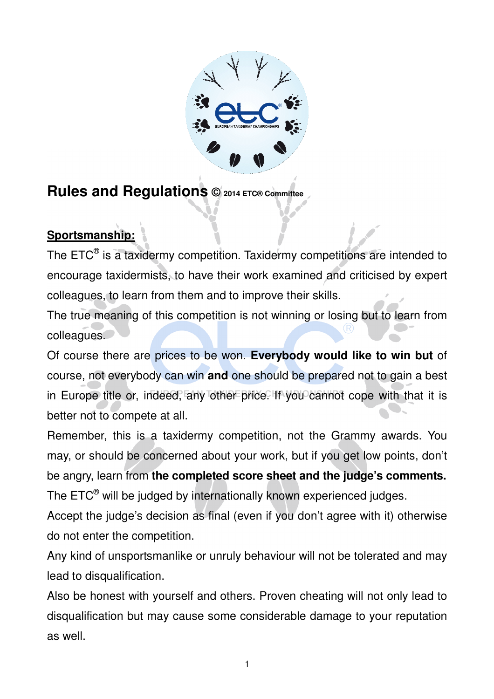

# **Rules and Regulations © 2014 ETC® Committee**

# **Sportsmanship:**

The ETC $^{\circledast}$  is a taxidermy competition. Taxidermy competitions are intended to encourage taxidermists, to have their work examined and criticised by expert colleagues, to learn from them and to improve their skills.

The true meaning of this competition is not winning or losing but to learn from colleagues.

Of course there are prices to be won. **Everybody would like to win but** of course, not everybody can win **and** one should be prepared not to gain a best in Europe title or, indeed, any other price. If you cannot cope with that it is better not to compete at all.

Remember, this is a taxidermy competition, not the Grammy awards. You may, or should be concerned about your work, but if you get low points, don't be angry, learn from **the completed score sheet and the judge's comments.** The ETC $^{\circledast}$  will be judged by internationally known experienced judges.

Accept the judge's decision as final (even if you don't agree with it) otherwise do not enter the competition.

Any kind of unsportsmanlike or unruly behaviour will not be tolerated and may lead to disqualification.

Also be honest with yourself and others. Proven cheating will not only lead to disqualification but may cause some considerable damage to your reputation as well.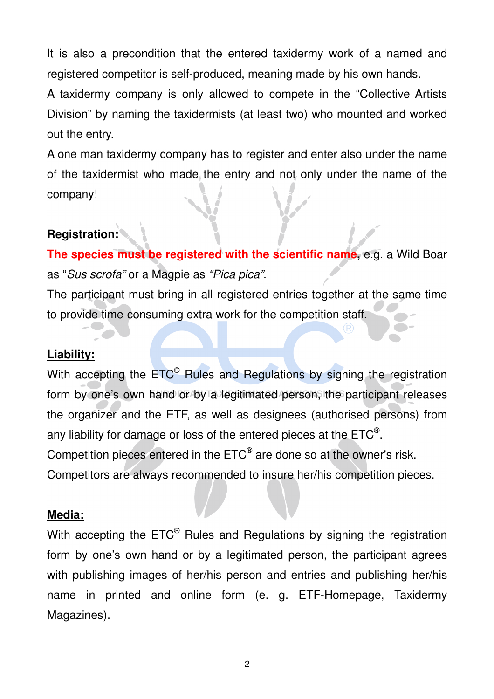It is also a precondition that the entered taxidermy work of a named and registered competitor is self-produced, meaning made by his own hands.

A taxidermy company is only allowed to compete in the "Collective Artists Division" by naming the taxidermists (at least two) who mounted and worked out the entry.

A one man taxidermy company has to register and enter also under the name of the taxidermist who made the entry and not only under the name of the company!

# **Registration:**

**The species must be registered with the scientific name,** e.g. a Wild Boar as "Sus scrofa" or a Magpie as "Pica pica".

The participant must bring in all registered entries together at the same time to provide time-consuming extra work for the competition staff.

#### **Liability:**

With accepting the ETC<sup>®</sup> Rules and Regulations by signing the registration form by one's own hand or by a legitimated person, the participant releases the organizer and the ETF, as well as designees (authorised persons) from any liability for damage or loss of the entered pieces at the ETC $^\circ$ . Competition pieces entered in the  $\mathsf{ETC}^{\circledast}$  are done so at the owner's risk. Competitors are always recommended to insure her/his competition pieces.

#### **Media:**

With accepting the  $\mathsf{ETC}^\circledast$  Rules and Regulations by signing the registration form by one's own hand or by a legitimated person, the participant agrees with publishing images of her/his person and entries and publishing her/his name in printed and online form (e. g. ETF-Homepage, Taxidermy Magazines).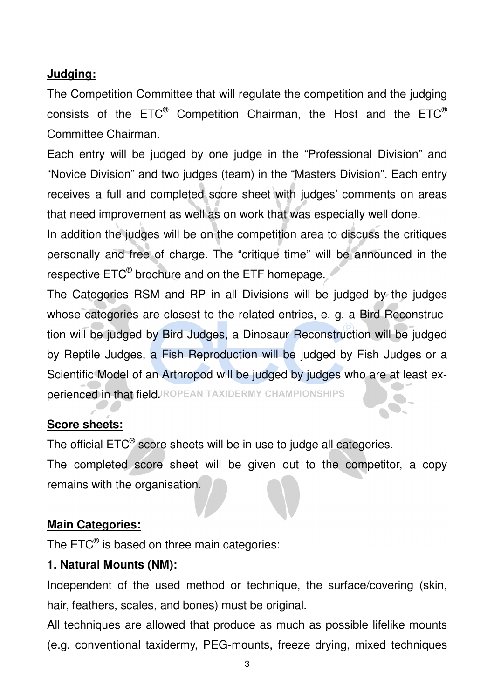## **Judging:**

The Competition Committee that will regulate the competition and the judging consists of the ETC® Competition Chairman, the Host and the ETC® Committee Chairman.

Each entry will be judged by one judge in the "Professional Division" and "Novice Division" and two judges (team) in the "Masters Division". Each entry receives a full and completed score sheet with judges' comments on areas that need improvement as well as on work that was especially well done.

In addition the judges will be on the competition area to discuss the critiques personally and free of charge. The "critique time" will be announced in the respective  $\mathsf{ETC}^\circledast$  brochure and on the ETF homepage.

The Categories RSM and RP in all Divisions will be judged by the judges whose categories are closest to the related entries, e. g. a Bird Reconstruction will be judged by Bird Judges, a Dinosaur Reconstruction will be judged by Reptile Judges, a Fish Reproduction will be judged by Fish Judges or a Scientific Model of an Arthropod will be judged by judges who are at least experienced in that field ROPEAN TAXIDERMY CHAMPIONSHIPS

#### **Score sheets:**

The official  $\mathsf{ETC}^\circledast$  score sheets will be in use to judge all categories.

The completed score sheet will be given out to the competitor, a copy remains with the organisation.

#### **Main Categories:**

The ETC $^{\circledast}$  is based on three main categories:

#### **1. Natural Mounts (NM):**

Independent of the used method or technique, the surface/covering (skin, hair, feathers, scales, and bones) must be original.

All techniques are allowed that produce as much as possible lifelike mounts (e.g. conventional taxidermy, PEG-mounts, freeze drying, mixed techniques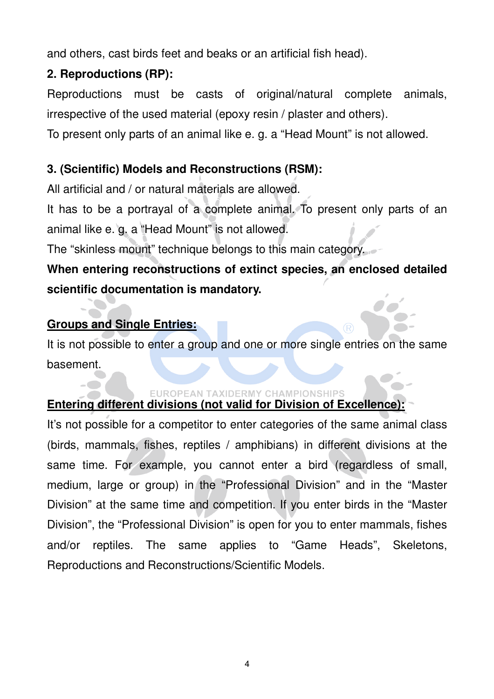and others, cast birds feet and beaks or an artificial fish head).

# **2. Reproductions (RP):**

Reproductions must be casts of original/natural complete animals, irrespective of the used material (epoxy resin / plaster and others).

To present only parts of an animal like e. g. a "Head Mount" is not allowed.

# **3. (Scientific) Models and Reconstructions (RSM):**

All artificial and / or natural materials are allowed.

It has to be a portrayal of a complete animal. To present only parts of an animal like e. g. a "Head Mount" is not allowed.

The "skinless mount" technique belongs to this main category.

# **When entering reconstructions of extinct species, an enclosed detailed scientific documentation is mandatory.**

# **Groups and Single Entries:**

It is not possible to enter a group and one or more single entries on the same basement.

## **EUROPEAN TAXIDERMY CHAMPIONSHIPS**

# **Entering different divisions (not valid for Division of Excellence):**

It's not possible for a competitor to enter categories of the same animal class (birds, mammals, fishes, reptiles / amphibians) in different divisions at the same time. For example, you cannot enter a bird (regardless of small, medium, large or group) in the "Professional Division" and in the "Master Division" at the same time and competition. If you enter birds in the "Master Division", the "Professional Division" is open for you to enter mammals, fishes and/or reptiles. The same applies to "Game Heads", Skeletons, Reproductions and Reconstructions/Scientific Models.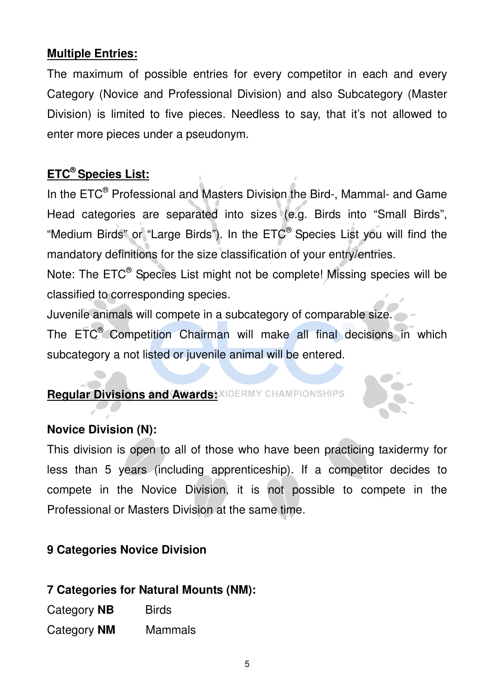## **Multiple Entries:**

The maximum of possible entries for every competitor in each and every Category (Novice and Professional Division) and also Subcategory (Master Division) is limited to five pieces. Needless to say, that it's not allowed to enter more pieces under a pseudonym.

# **ETC® Species List:**

In the ETC<sup>®</sup> Professional and Masters Division the Bird-, Mammal- and Game Head categories are separated into sizes (e.g. Birds into "Small Birds", "Medium Birds" or "Large Birds"). In the ETC® Species List you will find the mandatory definitions for the size classification of your entry/entries.

Note: The ETC<sup>®</sup> Species List might not be complete! Missing species will be classified to corresponding species.

Juvenile animals will compete in a subcategory of comparable size.

The ETC® Competition Chairman will make all final decisions in which subcategory a not listed or juvenile animal will be entered.

## **Reqular Divisions and Awards: XIDERMY CHAMPIONSHIPS**

## **Novice Division (N):**

This division is open to all of those who have been practicing taxidermy for less than 5 years (including apprenticeship). If a competitor decides to compete in the Novice Division, it is not possible to compete in the Professional or Masters Division at the same time.

# **9 Categories Novice Division**

## **7 Categories for Natural Mounts (NM):**

Category **NB** Birds Category **NM** Mammals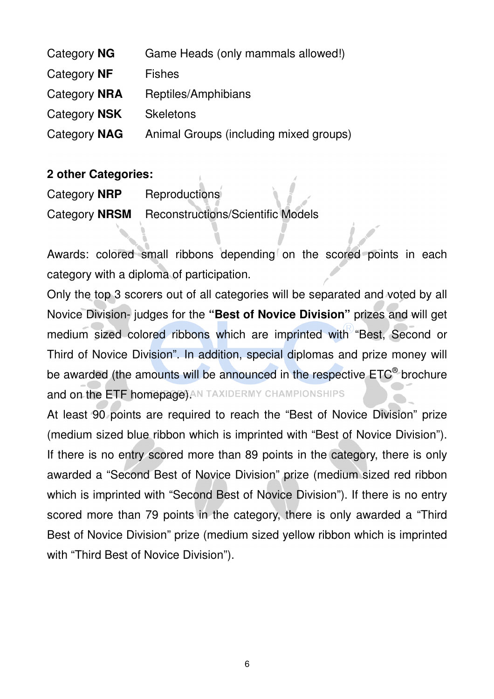| Category NG  | Game Heads (only mammals allowed!)     |
|--------------|----------------------------------------|
| Category NF  | <b>Fishes</b>                          |
| Category NRA | Reptiles/Amphibians                    |
| Category NSK | <b>Skeletons</b>                       |
| Category NAG | Animal Groups (including mixed groups) |

#### **2 other Categories:**

| Category <b>NRP</b> | Reproductions                                   |
|---------------------|-------------------------------------------------|
|                     | Category NRSM Reconstructions/Scientific Models |

Awards: colored small ribbons depending on the scored points in each category with a diploma of participation.

Only the top 3 scorers out of all categories will be separated and voted by all Novice Division- judges for the **"Best of Novice Division"** prizes and will get medium sized colored ribbons which are imprinted with "Best, Second or Third of Novice Division". In addition, special diplomas and prize money will be awarded (the amounts will be announced in the respective ETC® brochure and on the ETF homepage) AN TAXIDERMY CHAMPIONSHIPS

At least 90 points are required to reach the "Best of Novice Division" prize (medium sized blue ribbon which is imprinted with "Best of Novice Division"). If there is no entry scored more than 89 points in the category, there is only awarded a "Second Best of Novice Division" prize (medium sized red ribbon which is imprinted with "Second Best of Novice Division"). If there is no entry scored more than 79 points in the category, there is only awarded a "Third Best of Novice Division" prize (medium sized yellow ribbon which is imprinted with "Third Best of Novice Division").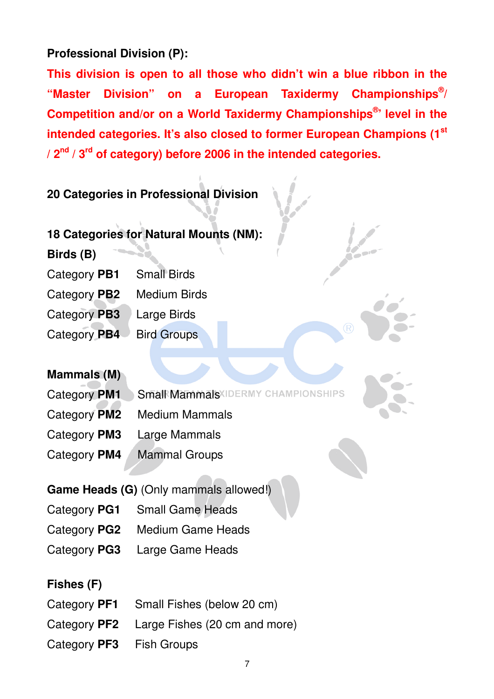# **Professional Division (P):**

**This division is open to all those who didn't win a blue ribbon in the "Master Division" on a European Taxidermy Championships® / Competition and/or on a World Taxidermy Championships® ' level in the intended categories. It's also closed to former European Champions (1st / 2nd / 3rd of category) before 2006 in the intended categories.**

# **20 Categories in Professional Division**

- **18 Categories for Natural Mounts (NM):**
- **Birds (B)**
- Category **PB1** Small Birds
- Category **PB2** Medium Birds
- Category **PB3** Large Birds
- Category PB4 Bird Groups

## **Mammals (M)**

Category **PM1** Small Mammals IDERMY CHAMPIONSHIPS

- Category **PM2** Medium Mammals
- Category **PM3** Large Mammals
- Category **PM4** Mammal Groups

## **Game Heads (G)** (Only mammals allowed!)

- Category **PG1** Small Game Heads
- Category **PG2** Medium Game Heads
- Category **PG3** Large Game Heads

#### **Fishes (F)**

- Category **PF1** Small Fishes (below 20 cm)
- Category **PF2** Large Fishes (20 cm and more)
- Category **PF3** Fish Groups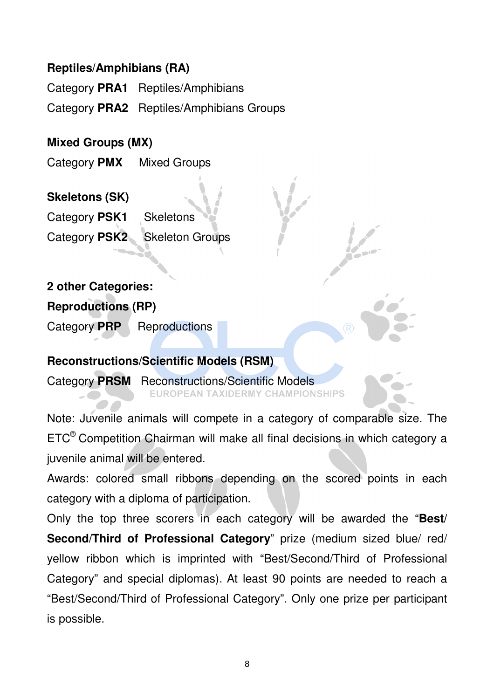### **Reptiles/Amphibians (RA)**

Category **PRA1** Reptiles/Amphibians

Category **PRA2** Reptiles/Amphibians Groups

## **Mixed Groups (MX)**

Category **PMX** Mixed Groups

## **Skeletons (SK)**

Category **PSK1** Skeletons Category **PSK2** Skeleton Groups

# **2 other Categories:**

### **Reproductions (RP)**

Category PRP Reproductions

#### **Reconstructions/Scientific Models (RSM)**

Category **PRSM** Reconstructions/Scientific Models **TAXIDERMY CHAMPIONSHIPS** 

Note: Juvenile animals will compete in a category of comparable size. The ETC® Competition Chairman will make all final decisions in which category a juvenile animal will be entered.

Awards: colored small ribbons depending on the scored points in each category with a diploma of participation.

Only the top three scorers in each category will be awarded the "**Best/ Second/Third of Professional Category**" prize (medium sized blue/ red/ yellow ribbon which is imprinted with "Best/Second/Third of Professional Category" and special diplomas). At least 90 points are needed to reach a "Best/Second/Third of Professional Category". Only one prize per participant is possible.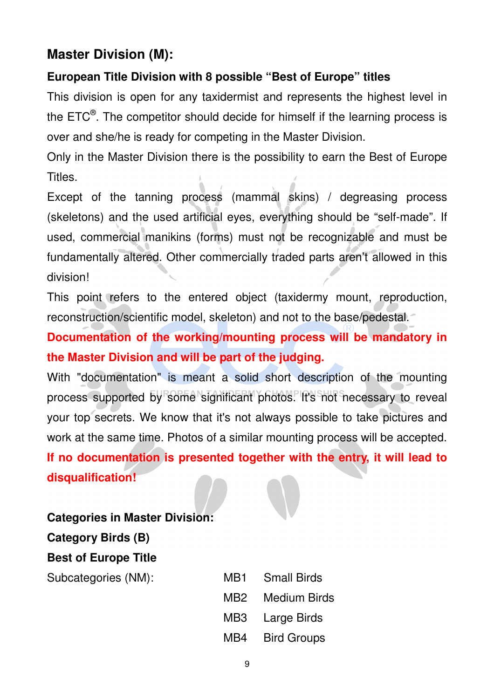# **Master Division (M):**

# **European Title Division with 8 possible "Best of Europe" titles**

This division is open for any taxidermist and represents the highest level in the ETC<sup>®</sup>. The competitor should decide for himself if the learning process is over and she/he is ready for competing in the Master Division.

Only in the Master Division there is the possibility to earn the Best of Europe Titles.

Except of the tanning process (mammal skins) / degreasing process (skeletons) and the used artificial eyes, everything should be "self-made". If used, commercial manikins (forms) must not be recognizable and must be fundamentally altered. Other commercially traded parts aren't allowed in this division!

This point refers to the entered object (taxidermy mount, reproduction, reconstruction/scientific model, skeleton) and not to the base/pedestal.

**Documentation of the working/mounting process will be mandatory in the Master Division and will be part of the judging.** 

With "documentation" is meant a solid short description of the mounting process supported by some significant photos. It's not necessary to reveal your top secrets. We know that it's not always possible to take pictures and work at the same time. Photos of a similar mounting process will be accepted. **If no documentation is presented together with the entry, it will lead to disqualification!** 

#### **Categories in Master Division:**

**Category Birds (B)**

## **Best of Europe Title**

Subcategories (NM):

| <b>Small Birds</b> |
|--------------------|
| Medium Birds       |
| Large Birds        |
| <b>Bird Groups</b> |
|                    |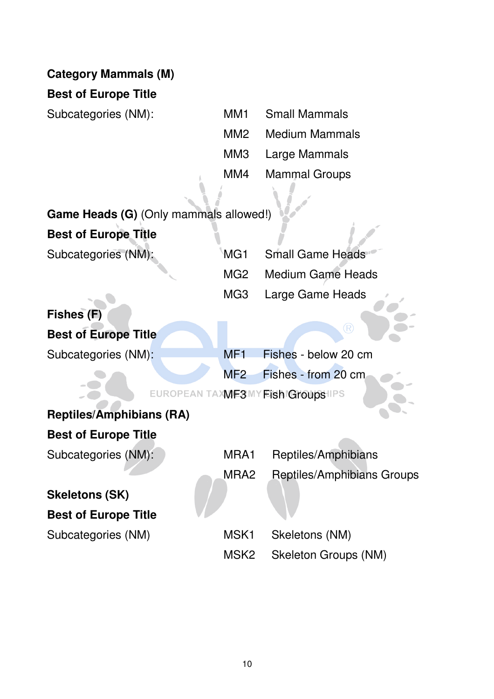|  | <b>Category Mammals (M)</b> |  |
|--|-----------------------------|--|
|--|-----------------------------|--|

#### **Best of Europe Title**

Subcategories (NM):

| MM1             | <b>Small Mammals</b> |
|-----------------|----------------------|
| MM <sub>2</sub> | Medium Mammals       |
| ММЗ             | Large Mammals        |
| MM4             | <b>Mammal Groups</b> |
|                 |                      |

| Game Heads (G) (Only mammals allowed!) |     |                 |
|----------------------------------------|-----|-----------------|
| <b>Best of Europe Title</b>            |     |                 |
| Subcategories (NM):                    | MG1 | <b>Small Ga</b> |

| MG1 Small Game Heads  |
|-----------------------|
| MG2 Medium Game Heads |
| MG3 Large Game Heads  |

# **Fishes (F) Best of Europe Title**

Subcategories (NM):

|  | MF1 Fishes - below 20 cm |
|--|--------------------------|
|  | MF2 Fishes - from 20 cm  |

<sup>(R)</sup>

EUROPEAN TAXWE3MY FISH Groups IIPS

# **Reptiles/Amphibians (RA) Best of Europe Title**

Subcategories (NM):

# **Skeletons (SK) Best of Europe Title**

Subcategories (NM)

| MRA1 | Reptiles/Amphibians        |
|------|----------------------------|
| MRA2 | Reptiles/Amphibians Groups |
|      |                            |
| MSK1 | Skeletons (NM)             |
| MSK2 | Skeleton Groups (NM)       |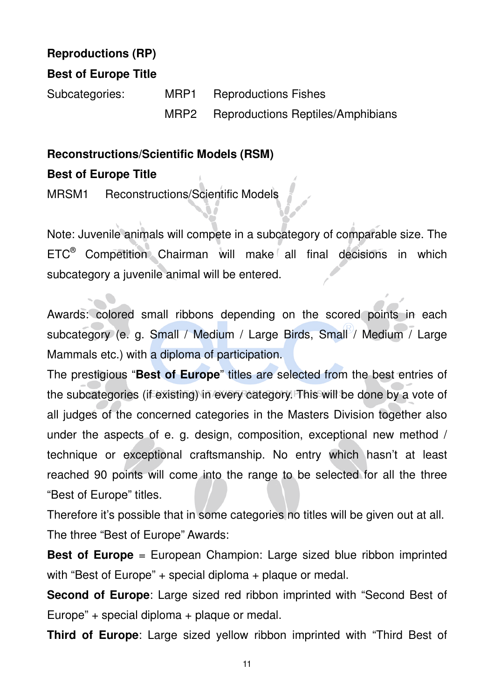# **Reproductions (RP)**

#### **Best of Europe Title**

Subcategories: MRP1 Reproductions Fishes MRP2 Reproductions Reptiles/Amphibians

#### **Reconstructions/Scientific Models (RSM)**

#### **Best of Europe Title**

MRSM1 Reconstructions/Scientific Models

Note: Juvenile animals will compete in a subcategory of comparable size. The ETC® Competition Chairman will make all final decisions in which subcategory a juvenile animal will be entered.

Awards: colored small ribbons depending on the scored points in each subcategory (e. g. Small / Medium / Large Birds, Small / Medium / Large Mammals etc.) with a diploma of participation.

The prestigious "**Best of Europe**" titles are selected from the best entries of the subcategories (if existing) in every category. This will be done by a vote of all judges of the concerned categories in the Masters Division together also under the aspects of e. g. design, composition, exceptional new method / technique or exceptional craftsmanship. No entry which hasn't at least reached 90 points will come into the range to be selected for all the three "Best of Europe" titles.

Therefore it's possible that in some categories no titles will be given out at all. The three "Best of Europe" Awards:

**Best of Europe** = European Champion: Large sized blue ribbon imprinted with "Best of Europe" + special diploma + plaque or medal.

**Second of Europe**: Large sized red ribbon imprinted with "Second Best of Europe" + special diploma + plaque or medal.

**Third of Europe**: Large sized yellow ribbon imprinted with "Third Best of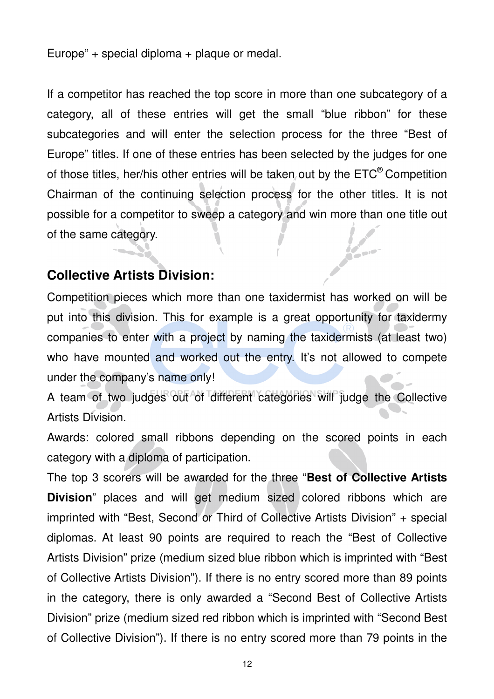Europe" + special diploma + plaque or medal.

If a competitor has reached the top score in more than one subcategory of a category, all of these entries will get the small "blue ribbon" for these subcategories and will enter the selection process for the three "Best of Europe" titles. If one of these entries has been selected by the judges for one of those titles, her/his other entries will be taken out by the  $ETC<sup>®</sup>$  Competition Chairman of the continuing selection process for the other titles. It is not possible for a competitor to sweep a category and win more than one title out of the same category.

# **Collective Artists Division:**

Competition pieces which more than one taxidermist has worked on will be put into this division. This for example is a great opportunity for taxidermy companies to enter with a project by naming the taxidermists (at least two) who have mounted and worked out the entry. It's not allowed to compete under the company's name only!

 $\sim$ 

A team of two judges out of different categories will judge the Collective Artists Division.

Awards: colored small ribbons depending on the scored points in each category with a diploma of participation.

The top 3 scorers will be awarded for the three "**Best of Collective Artists Division**" places and will get medium sized colored ribbons which are imprinted with "Best, Second or Third of Collective Artists Division" + special diplomas. At least 90 points are required to reach the "Best of Collective Artists Division" prize (medium sized blue ribbon which is imprinted with "Best of Collective Artists Division"). If there is no entry scored more than 89 points in the category, there is only awarded a "Second Best of Collective Artists Division" prize (medium sized red ribbon which is imprinted with "Second Best of Collective Division"). If there is no entry scored more than 79 points in the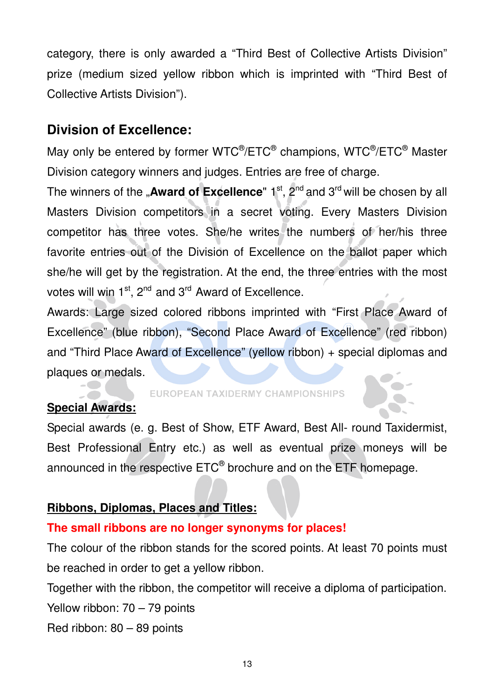category, there is only awarded a "Third Best of Collective Artists Division" prize (medium sized yellow ribbon which is imprinted with "Third Best of Collective Artists Division").

# **Division of Excellence:**

May only be entered by former WTC®/ETC® champions, WTC®/ETC® Master Division category winners and judges. Entries are free of charge.

The winners of the "**Award of Excellence**" 1<sup>st</sup>, 2<sup>nd</sup> and 3<sup>rd</sup> will be chosen by all Masters Division competitors in a secret voting. Every Masters Division competitor has three votes. She/he writes the numbers of her/his three favorite entries out of the Division of Excellence on the ballot paper which she/he will get by the registration. At the end, the three entries with the most votes will win  $1^{st}$ ,  $2^{nd}$  and  $3^{rd}$  Award of Excellence.

Awards: Large sized colored ribbons imprinted with "First Place Award of Excellence" (blue ribbon), "Second Place Award of Excellence" (red ribbon) and "Third Place Award of Excellence" (yellow ribbon) + special diplomas and plaques or medals.

# **Special Awards:**

#### **EUROPEAN TAXIDERMY CHAMPIONSHIPS**

Special awards (e. g. Best of Show, ETF Award, Best All- round Taxidermist, Best Professional Entry etc.) as well as eventual prize moneys will be announced in the respective ETC $^{\circledast}$  brochure and on the ETF homepage.

## **Ribbons, Diplomas, Places and Titles:**

## **The small ribbons are no longer synonyms for places!**

The colour of the ribbon stands for the scored points. At least 70 points must be reached in order to get a yellow ribbon.

Together with the ribbon, the competitor will receive a diploma of participation.

Yellow ribbon: 70 – 79 points

Red ribbon: 80 – 89 points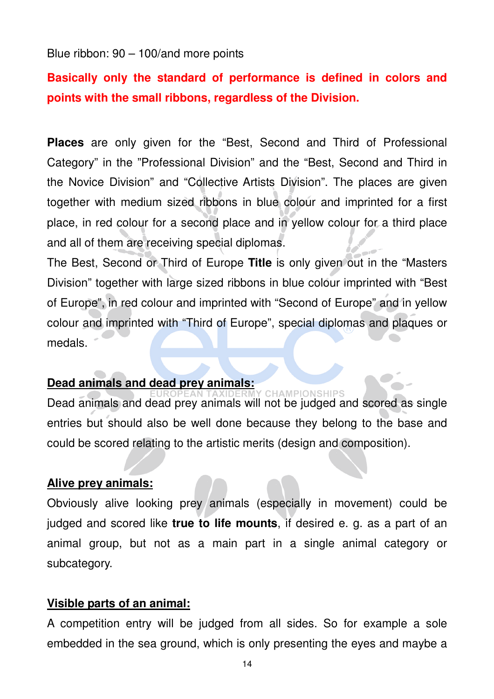Blue ribbon: 90 – 100/and more points

# **Basically only the standard of performance is defined in colors and points with the small ribbons, regardless of the Division.**

**Places** are only given for the "Best, Second and Third of Professional Category" in the "Professional Division" and the "Best, Second and Third in the Novice Division" and "Collective Artists Division". The places are given together with medium sized ribbons in blue colour and imprinted for a first place, in red colour for a second place and in yellow colour for a third place and all of them are receiving special diplomas.

The Best, Second or Third of Europe **Title** is only given out in the "Masters Division" together with large sized ribbons in blue colour imprinted with "Best of Europe", in red colour and imprinted with "Second of Europe" and in yellow colour and imprinted with "Third of Europe", special diplomas and plaques or medals.

#### **Dead animals and dead prey animals:**

**CHAMPIONSHIPS** Dead animals and dead prey animals will not be judged and scored as single entries but should also be well done because they belong to the base and could be scored relating to the artistic merits (design and composition).

#### **Alive prey animals:**

Obviously alive looking prey animals (especially in movement) could be judged and scored like **true to life mounts**, if desired e. g. as a part of an animal group, but not as a main part in a single animal category or subcategory.

#### **Visible parts of an animal:**

A competition entry will be judged from all sides. So for example a sole embedded in the sea ground, which is only presenting the eyes and maybe a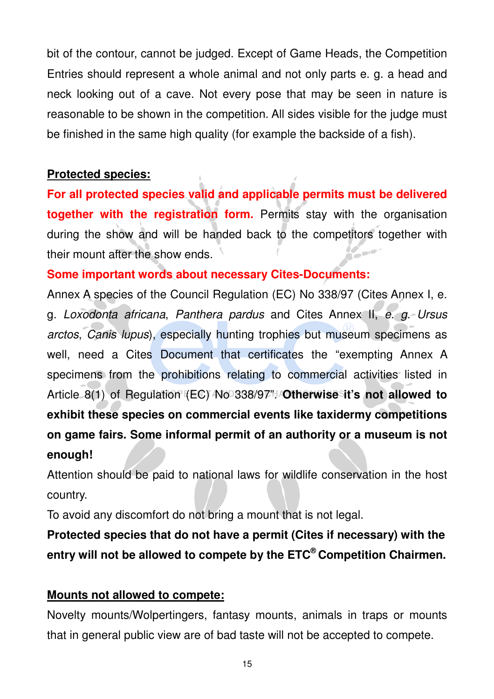bit of the contour, cannot be judged. Except of Game Heads, the Competition Entries should represent a whole animal and not only parts e. g. a head and neck looking out of a cave. Not every pose that may be seen in nature is reasonable to be shown in the competition. All sides visible for the judge must be finished in the same high quality (for example the backside of a fish).

## **Protected species:**

**For all protected species valid and applicable permits must be delivered together with the registration form.** Permits stay with the organisation during the show and will be handed back to the competitors together with their mount after the show ends.

## **Some important words about necessary Cites-Documents:**

Annex A species of the Council Regulation (EC) No 338/97 (Cites Annex I, e. g. Loxodonta africana, Panthera pardus and Cites Annex II, e. g. Ursus arctos, Canis lupus), especially hunting trophies but museum specimens as well, need a Cites Document that certificates the "exempting Annex A specimens from the prohibitions relating to commercial activities listed in Article 8(1) of Regulation (EC) No 338/97". **Otherwise it's not allowed to exhibit these species on commercial events like taxidermy competitions on game fairs. Some informal permit of an authority or a museum is not enough!** 

Attention should be paid to national laws for wildlife conservation in the host country.

To avoid any discomfort do not bring a mount that is not legal.

**Protected species that do not have a permit (Cites if necessary) with the entry will not be allowed to compete by the ETC® Competition Chairmen.** 

# **Mounts not allowed to compete:**

Novelty mounts/Wolpertingers, fantasy mounts, animals in traps or mounts that in general public view are of bad taste will not be accepted to compete.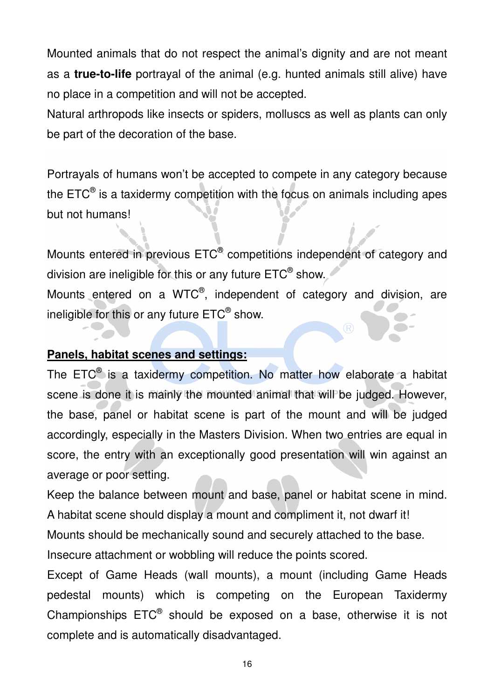Mounted animals that do not respect the animal's dignity and are not meant as a **true-to-life** portrayal of the animal (e.g. hunted animals still alive) have no place in a competition and will not be accepted.

Natural arthropods like insects or spiders, molluscs as well as plants can only be part of the decoration of the base.

Portrayals of humans won't be accepted to compete in any category because the ETC $^{\circledast}$  is a taxidermy competition with the focus on animals including apes but not humans!

Mounts entered in previous  $\mathsf{ETC}^\circledast$  competitions independent of category and division are ineligible for this or any future  $\mathsf{ETC}^\circledast$  show. Mounts entered on a WTC $^{\circledast}$ , independent of category and division, are ineligible for this or any future  $\mathsf{ETC}^\circledast$  show.

## **Panels, habitat scenes and settings:**

The ETC<sup>®</sup> is a taxidermy competition. No matter how elaborate a habitat scene is done it is mainly the mounted animal that will be judged. However, the base, panel or habitat scene is part of the mount and will be judged accordingly, especially in the Masters Division. When two entries are equal in score, the entry with an exceptionally good presentation will win against an average or poor setting.

Keep the balance between mount and base, panel or habitat scene in mind. A habitat scene should display a mount and compliment it, not dwarf it!

Mounts should be mechanically sound and securely attached to the base.

Insecure attachment or wobbling will reduce the points scored.

Except of Game Heads (wall mounts), a mount (including Game Heads pedestal mounts) which is competing on the European Taxidermy Championships  $ETC<sup>®</sup>$  should be exposed on a base, otherwise it is not complete and is automatically disadvantaged.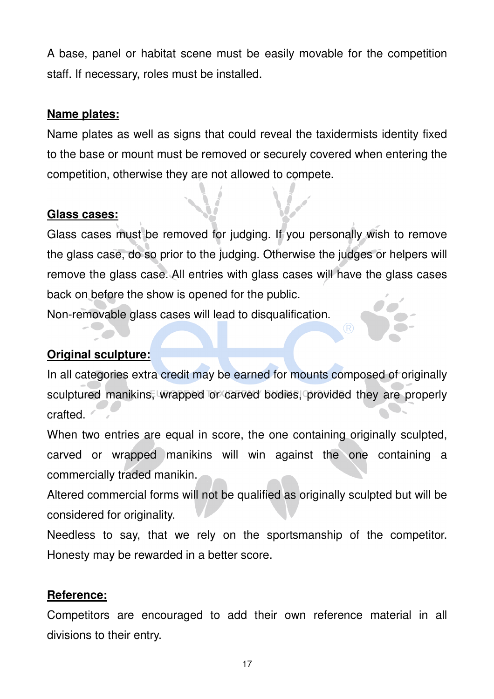A base, panel or habitat scene must be easily movable for the competition staff. If necessary, roles must be installed.

### **Name plates:**

Name plates as well as signs that could reveal the taxidermists identity fixed to the base or mount must be removed or securely covered when entering the competition, otherwise they are not allowed to compete.

## **Glass cases:**

Glass cases must be removed for judging. If you personally wish to remove the glass case, do so prior to the judging. Otherwise the judges or helpers will remove the glass case. All entries with glass cases will have the glass cases back on before the show is opened for the public.

Non-removable glass cases will lead to disqualification.

# **Original sculpture:**

In all categories extra credit may be earned for mounts composed of originally sculptured manikins, wrapped or carved bodies, provided they are properly crafted.

When two entries are equal in score, the one containing originally sculpted, carved or wrapped manikins will win against the one containing a commercially traded manikin.

Altered commercial forms will not be qualified as originally sculpted but will be considered for originality.

Needless to say, that we rely on the sportsmanship of the competitor. Honesty may be rewarded in a better score.

## **Reference:**

Competitors are encouraged to add their own reference material in all divisions to their entry.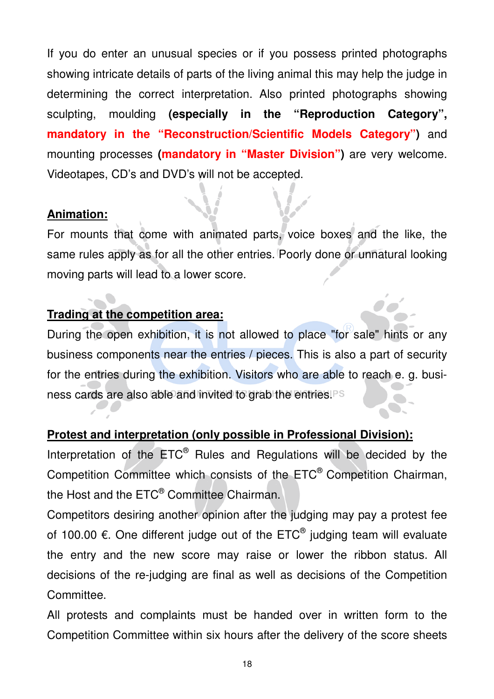If you do enter an unusual species or if you possess printed photographs showing intricate details of parts of the living animal this may help the judge in determining the correct interpretation. Also printed photographs showing sculpting, moulding **(especially in the "Reproduction Category", mandatory in the "Reconstruction/Scientific Models Category")** and mounting processes **(mandatory in "Master Division")** are very welcome. Videotapes, CD's and DVD's will not be accepted.

## **Animation:**

For mounts that come with animated parts, voice boxes and the like, the same rules apply as for all the other entries. Poorly done or unnatural looking moving parts will lead to a lower score.

# **Trading at the competition area:**

During the open exhibition, it is not allowed to place "for sale" hints or any business components near the entries / pieces. This is also a part of security for the entries during the exhibition. Visitors who are able to reach e. g. business cards are also able and invited to grab the entries.

## **Protest and interpretation (only possible in Professional Division):**

Interpretation of the ETC<sup>®</sup> Rules and Regulations will be decided by the Competition Committee which consists of the ETC® Competition Chairman, the Host and the ETC® Committee Chairman.

Competitors desiring another opinion after the judging may pay a protest fee of 100.00  $\epsilon$ . One different judge out of the ETC<sup>®</sup> judging team will evaluate the entry and the new score may raise or lower the ribbon status. All decisions of the re-judging are final as well as decisions of the Competition Committee.

All protests and complaints must be handed over in written form to the Competition Committee within six hours after the delivery of the score sheets